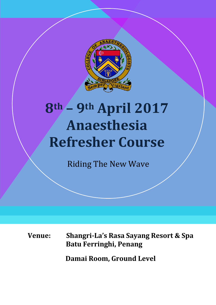

# **8th – 9th April 2017 Anaesthesia Refresher Course**

Riding The New Wave

**Venue: Shangri-La's Rasa Sayang Resort & Spa Batu Ferringhi, Penang** 

 **Damai Room, Ground Level**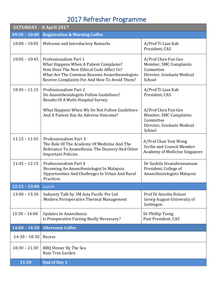## 2017 Refresher Programme

|                     | SATURDAY - 8 April 2017                                                                                                                                                                                         |                                                                                                    |
|---------------------|-----------------------------------------------------------------------------------------------------------------------------------------------------------------------------------------------------------------|----------------------------------------------------------------------------------------------------|
| $09:30 - 10:00$     | <b>Registration &amp; Morning Coffee</b>                                                                                                                                                                        |                                                                                                    |
| $10:00 - 10:05$     | <b>Welcome and Introductory Remarks</b>                                                                                                                                                                         | A/Prof Ti Lian Kah<br>President, CAS                                                               |
| $10:05 - 10:45$     | Professionalism Part 1<br>What Happens When A Patient Complains?<br>How Does The New Ethical Code Affect Us?<br>What Are The Common Reasons Anaesthesiologists<br>Receive Complaints For And How To Avoid Them? | A/Prof Chen Fun Gee<br>Member, SMC Complaints<br>Committee<br>Director, Graduate Medical<br>School |
| $10:45 - 11:15$     | Professionalism Part 2<br>Do Anaesthesiologists Follow Guidelines?<br>Results Of A Multi-Hospital Survey.                                                                                                       | A/Prof Ti Lian Kah<br>President, CAS                                                               |
|                     | What Happens When We Do Not Follow Guidelines<br>And A Patient Has An Adverse Outcome?                                                                                                                          | A/Prof Chen Fun Gee<br>Member, SMC Complaints<br>Committee<br>Director, Graduate Medical<br>School |
| $11:15 - 11:45$     | Professionalism Part 3<br>The Role Of The Academy Of Medicine And The<br>Relevance To Anaesthesia: The Deanery And Other<br><b>Important Policies.</b>                                                          | A/Prof Chan Yew Weng<br>Scribe and Council Member<br><b>Academy of Medicine Singapore</b>          |
| $11:45 - 12:15$     | Professionalism Part 4<br>Becoming An Anaesthesiologist In Malaysia:<br>Opportunities And Challenges In Urban And Rural<br>Practices                                                                            | Dr Sushila Sivasubramaniam<br>President, College of<br>Anaesthesiologists Malaysia                 |
| 12:15 - 13:00 Lunch |                                                                                                                                                                                                                 |                                                                                                    |
| $13:00 - 13:30$     | Industry Talk by 3M Asia Pacific Pte Ltd<br>Modern Perioperative Thermal Management                                                                                                                             | Prof Dr Anselm Bräuer<br>Georg-August-University of<br>Gottingen                                   |
| $13:30 - 14:00$     | Updates In Anaesthesia<br>Is Preoperative Fasting Really Necessary?                                                                                                                                             | Dr Phillip Tseng<br>Past President, CAS                                                            |
| $14:00 - 14:30$     | <b>Afternoon Coffee</b>                                                                                                                                                                                         |                                                                                                    |
| $14:30 - 18:30$     | Recess                                                                                                                                                                                                          |                                                                                                    |
| $18:30 - 21:30$     | <b>BBQ Dinner By The Sea</b><br>Rain Tree Garden                                                                                                                                                                |                                                                                                    |
| 21:30               | <b>End of Day 1</b>                                                                                                                                                                                             |                                                                                                    |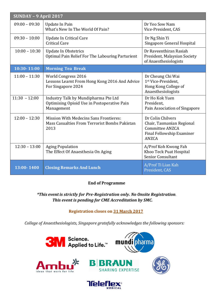| $SUNDAY - 9 April 2017$ |                                                                                                        |                                                                                                                       |  |  |
|-------------------------|--------------------------------------------------------------------------------------------------------|-----------------------------------------------------------------------------------------------------------------------|--|--|
| $09:00 - 09:30$         | Update In Pain<br>What's New In The World Of Pain?                                                     | Dr Yeo Sow Nam<br>Vice-President, CAS                                                                                 |  |  |
| $09:30 - 10:00$         | Update In Critical Care<br><b>Critical Care</b>                                                        | Dr Ng Shin Yi<br>Singapore General Hospital                                                                           |  |  |
| $10:00 - 10:30$         | <b>Update In Obstetrics</b><br>Optimal Pain Relief For The Labouring Parturient                        | Dr Raveenthiran Rasiah<br>President, Malaysian Society<br>of Anaesthesiologists                                       |  |  |
| 10:30-11:00             | <b>Morning Tea Break</b>                                                                               |                                                                                                                       |  |  |
| $11:00 - 11:30$         | World Congress 2016<br>Lessons Learnt From Hong Kong 2016 And Advice<br>For Singapore 2024             | Dr Cheung Chi Wai<br>1st Vice-President,<br>Hong Kong College of<br>Anaesthesiologists                                |  |  |
| $11:30 - 12:00$         | Industry Talk by Mundipharma Pte Ltd<br>Optimising Opioid Use in Postoperative Pain<br>Management      | Dr Ho Kok Yuen<br>President,<br>Pain Association of Singapore                                                         |  |  |
| $12:00 - 12:30$         | <b>Mission With Medecins Sans Frontieres:</b><br>Mass Casualties From Terrorist Bombs Pakistan<br>2013 | Dr Colin Chilvers<br>Chair, Tasmanian Regional<br><b>Committee ANZCA</b><br>Final Fellowship Examiner<br><b>ANZCA</b> |  |  |
| $12:30 - 13:00$         | <b>Aging Population</b><br>The Effect Of Anaesthesia On Aging                                          | A/Prof Koh Kwong Fah<br>Khoo Teck Puat Hospital<br>Senior Consultant                                                  |  |  |
| 13:00-1400              | <b>Closing Remarks And Lunch</b>                                                                       | A/Prof Ti Lian Kah<br>President, CAS                                                                                  |  |  |

#### **End of Programme**

#### *\*This eventis strictly for Pre-Registration only. No Onsite Registration*. *This event is pending for CME Accreditation by SMC.*

#### **Registration closes on 31 March 2017**

*College of Anaesthesiologists, Singapore gratefully acknowledges the following sponsors:*

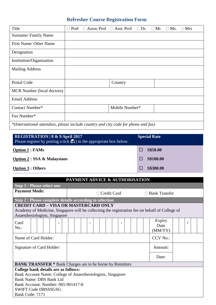### **Refresher Course Registration Form**

| Title                                                                              | Prof<br>П |  | Assoc Prof $\Box$ Asst. Prof $\Box$ Dr. $\Box$ Mr. |  | $\Box$ Ms. | $\Box$ Mrs |
|------------------------------------------------------------------------------------|-----------|--|----------------------------------------------------|--|------------|------------|
| Surname/Family Name                                                                |           |  |                                                    |  |            |            |
| First Name/ Other Name                                                             |           |  |                                                    |  |            |            |
| Designation                                                                        |           |  |                                                    |  |            |            |
| Institution/Organisation                                                           |           |  |                                                    |  |            |            |
| <b>Mailing Address</b>                                                             |           |  |                                                    |  |            |            |
| Postal Code                                                                        |           |  | Country                                            |  |            |            |
| MCR Number (local doctors)                                                         |           |  |                                                    |  |            |            |
| <b>Email Address</b>                                                               |           |  |                                                    |  |            |            |
| Contact Number*                                                                    |           |  | Mobile Number*                                     |  |            |            |
| Fax Number*                                                                        |           |  |                                                    |  |            |            |
| *(International attendees, please include country and city code for phone and fax) |           |  |                                                    |  |            |            |

| <b>REGISTRATION 8 &amp; 9 April 2017</b><br>Please register by putting a tick $(\blacksquare)$ in the appropriate box below. | <b>Special Rate</b> |
|------------------------------------------------------------------------------------------------------------------------------|---------------------|
| <b>Option 1 : FAMs</b>                                                                                                       | <b>S\$50.00</b>     |
| <b>Option 2: SSA &amp; Malaysians</b>                                                                                        | <b>S\$100.00</b>    |
| <b>Option 3 : Others</b>                                                                                                     | <b>S\$300.00</b>    |

| PAYMENT ADVICE & AUTHORISATION                                                                                                                                                  |                                                         |                           |  |  |  |
|---------------------------------------------------------------------------------------------------------------------------------------------------------------------------------|---------------------------------------------------------|---------------------------|--|--|--|
| <b>Step 1: Please select one</b>                                                                                                                                                |                                                         |                           |  |  |  |
| <b>Payment Mode:</b>                                                                                                                                                            | Credit Card                                             | $\Box$ Bank Transfer      |  |  |  |
|                                                                                                                                                                                 | Step 2 : Please complete details according to selection |                           |  |  |  |
| <b>CREDIT CARD - VISA OR MASTERCARD ONLY</b><br>Academy of Medicine, Singapore will be collecting the registration fee on behalf of College of<br>Anaesthesiologists, Singapore |                                                         |                           |  |  |  |
| Card<br>$No.$ :                                                                                                                                                                 | $\blacksquare$                                          | Expiry<br>Date<br>(MM/YY) |  |  |  |
| Name of Card Holder:                                                                                                                                                            | <b>CCV No.:</b>                                         |                           |  |  |  |
| Signature of Card Holder:                                                                                                                                                       |                                                         | Amount:                   |  |  |  |
|                                                                                                                                                                                 | Date:                                                   |                           |  |  |  |
| <b>BANK TRANSFER</b> * Bank Charges are to be borne by Remitters                                                                                                                |                                                         |                           |  |  |  |
| College bank details are as follows:                                                                                                                                            |                                                         |                           |  |  |  |
| Bank Account Name: College of Anaesthesiologists, Singapore                                                                                                                     |                                                         |                           |  |  |  |
| <b>Bank Name: DBS Bank Ltd</b>                                                                                                                                                  |                                                         |                           |  |  |  |
| Bank Account: Number: 065-901417-8                                                                                                                                              |                                                         |                           |  |  |  |
| <b>SWIFT Code DBSSSGSG</b>                                                                                                                                                      |                                                         |                           |  |  |  |
| Bank Code: 7171                                                                                                                                                                 |                                                         |                           |  |  |  |